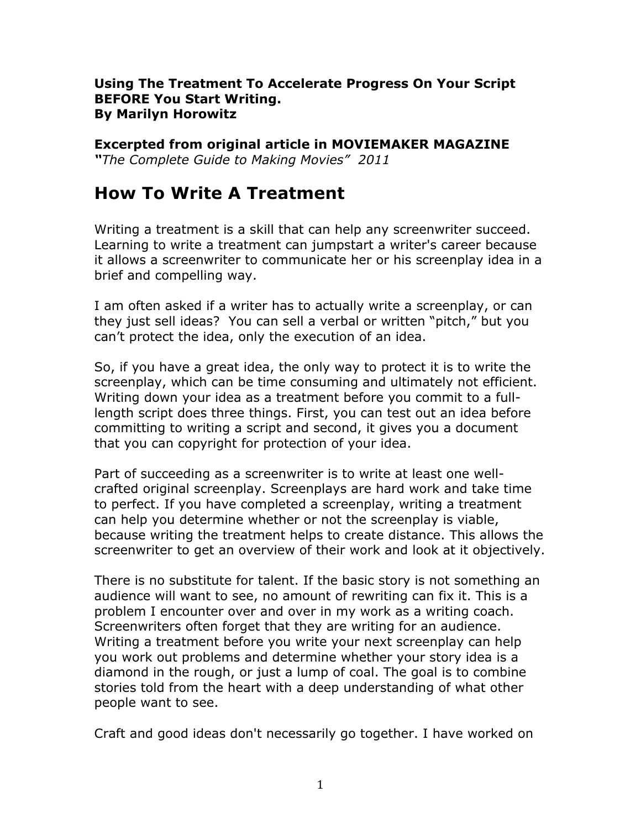### **Using The Treatment To Accelerate Progress On Your Script BEFORE You Start Writing. By Marilyn Horowitz**

### **Excerpted from original article in MOVIEMAKER MAGAZINE**

*"The Complete Guide to Making Movies" 2011*

# **How To Write A Treatment**

Writing a treatment is a skill that can help any screenwriter succeed. Learning to write a treatment can jumpstart a writer's career because it allows a screenwriter to communicate her or his screenplay idea in a brief and compelling way.

I am often asked if a writer has to actually write a screenplay, or can they just sell ideas? You can sell a verbal or written "pitch," but you can't protect the idea, only the execution of an idea.

So, if you have a great idea, the only way to protect it is to write the screenplay, which can be time consuming and ultimately not efficient. Writing down your idea as a treatment before you commit to a fulllength script does three things. First, you can test out an idea before committing to writing a script and second, it gives you a document that you can copyright for protection of your idea.

Part of succeeding as a screenwriter is to write at least one wellcrafted original screenplay. Screenplays are hard work and take time to perfect. If you have completed a screenplay, writing a treatment can help you determine whether or not the screenplay is viable, because writing the treatment helps to create distance. This allows the screenwriter to get an overview of their work and look at it objectively.

There is no substitute for talent. If the basic story is not something an audience will want to see, no amount of rewriting can fix it. This is a problem I encounter over and over in my work as a writing coach. Screenwriters often forget that they are writing for an audience. Writing a treatment before you write your next screenplay can help you work out problems and determine whether your story idea is a diamond in the rough, or just a lump of coal. The goal is to combine stories told from the heart with a deep understanding of what other people want to see.

Craft and good ideas don't necessarily go together. I have worked on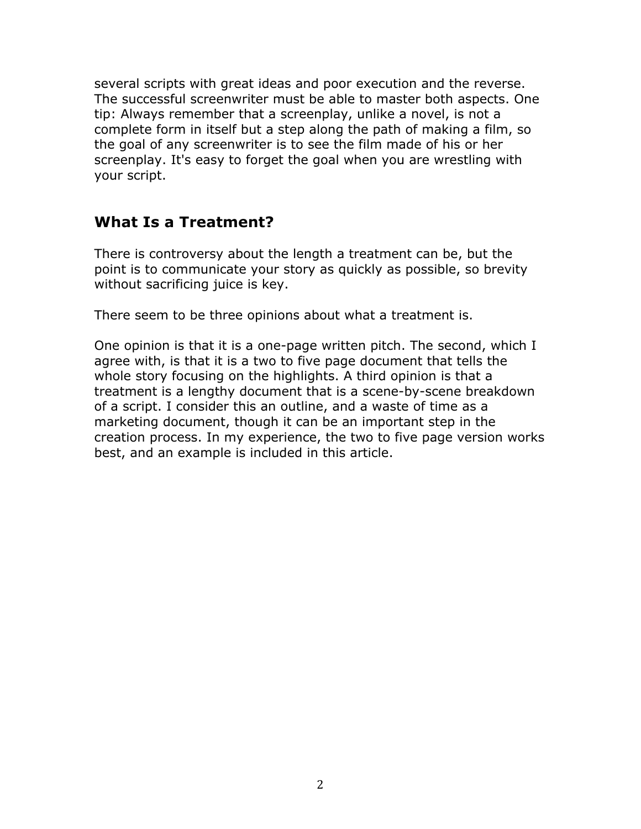several scripts with great ideas and poor execution and the reverse. The successful screenwriter must be able to master both aspects. One tip: Always remember that a screenplay, unlike a novel, is not a complete form in itself but a step along the path of making a film, so the goal of any screenwriter is to see the film made of his or her screenplay. It's easy to forget the goal when you are wrestling with your script.

## **What Is a Treatment?**

There is controversy about the length a treatment can be, but the point is to communicate your story as quickly as possible, so brevity without sacrificing juice is key.

There seem to be three opinions about what a treatment is.

One opinion is that it is a one-page written pitch. The second, which I agree with, is that it is a two to five page document that tells the whole story focusing on the highlights. A third opinion is that a treatment is a lengthy document that is a scene-by-scene breakdown of a script. I consider this an outline, and a waste of time as a marketing document, though it can be an important step in the creation process. In my experience, the two to five page version works best, and an example is included in this article.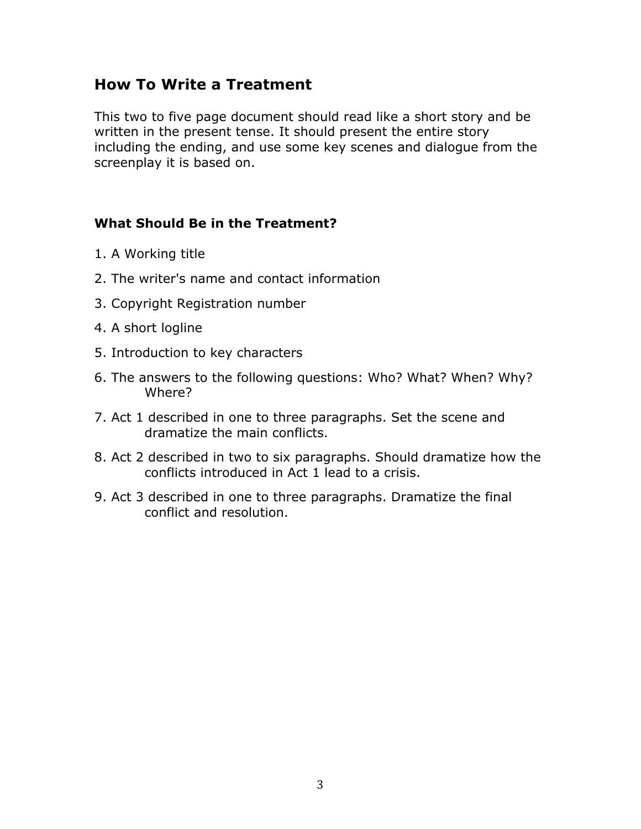## **How To Write a Treatment**

This two to five page document should read like a short story and be written in the present tense. It should present the entire story including the ending, and use some key scenes and dialogue from the screenplay it is based on.

### **What Should Be in the Treatment?**

- 1. A Working title
- 2. The writer's name and contact information
- 3. Copyright Registration number
- 4. A short logline
- 5. Introduction to key characters
- 6. The answers to the following questions: Who? What? When? Why? Where?
- 7. Act 1 described in one to three paragraphs. Set the scene and dramatize the main conflicts.
- 8. Act 2 described in two to six paragraphs. Should dramatize how the conflicts introduced in Act 1 lead to a crisis.
- 9. Act 3 described in one to three paragraphs. Dramatize the final conflict and resolution.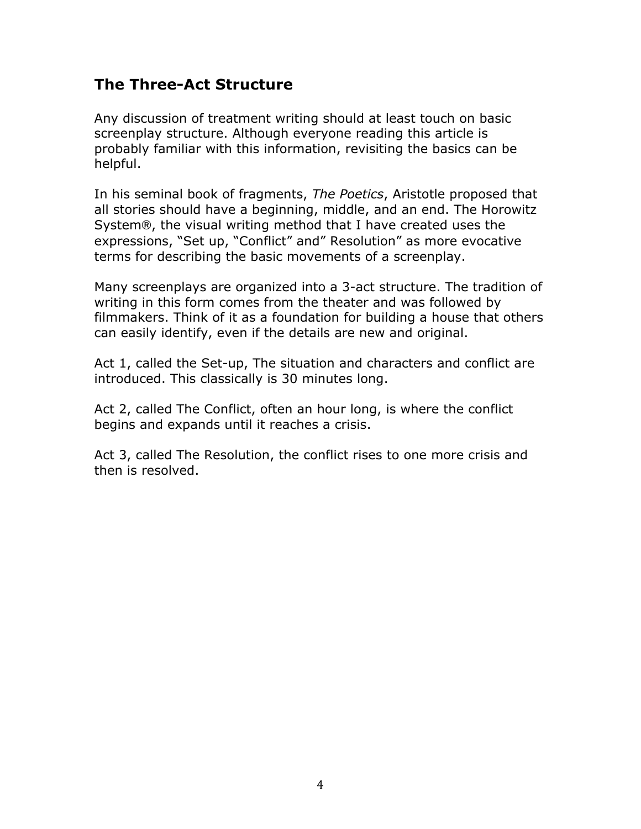## **The Three-Act Structure**

Any discussion of treatment writing should at least touch on basic screenplay structure. Although everyone reading this article is probably familiar with this information, revisiting the basics can be helpful.

In his seminal book of fragments, *The Poetics*, Aristotle proposed that all stories should have a beginning, middle, and an end. The Horowitz System®, the visual writing method that I have created uses the expressions, "Set up, "Conflict" and" Resolution" as more evocative terms for describing the basic movements of a screenplay.

Many screenplays are organized into a 3-act structure. The tradition of writing in this form comes from the theater and was followed by filmmakers. Think of it as a foundation for building a house that others can easily identify, even if the details are new and original.

Act 1, called the Set-up, The situation and characters and conflict are introduced. This classically is 30 minutes long.

Act 2, called The Conflict, often an hour long, is where the conflict begins and expands until it reaches a crisis.

Act 3, called The Resolution, the conflict rises to one more crisis and then is resolved.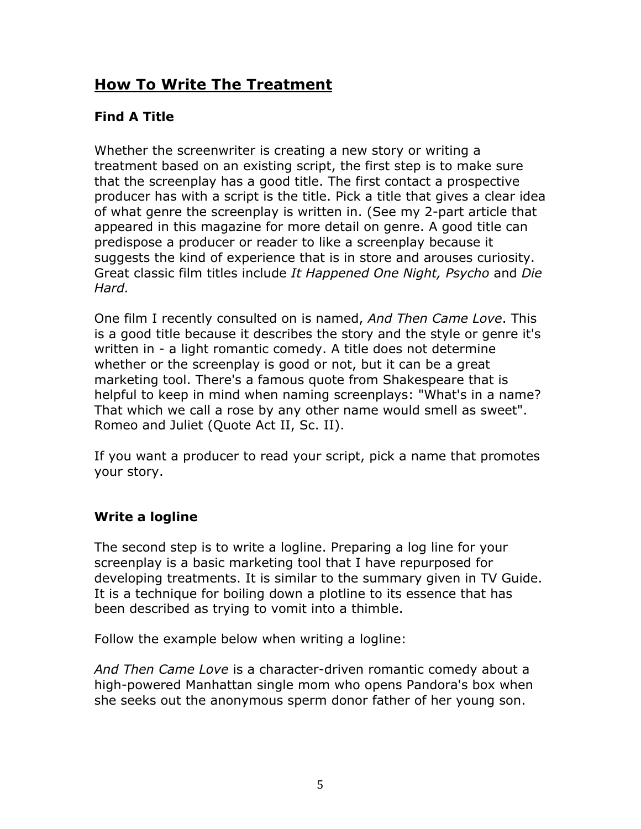# **How To Write The Treatment**

## **Find A Title**

Whether the screenwriter is creating a new story or writing a treatment based on an existing script, the first step is to make sure that the screenplay has a good title. The first contact a prospective producer has with a script is the title. Pick a title that gives a clear idea of what genre the screenplay is written in. (See my 2-part article that appeared in this magazine for more detail on genre. A good title can predispose a producer or reader to like a screenplay because it suggests the kind of experience that is in store and arouses curiosity. Great classic film titles include *It Happened One Night, Psycho* and *Die Hard.*

One film I recently consulted on is named, *And Then Came Love*. This is a good title because it describes the story and the style or genre it's written in - a light romantic comedy. A title does not determine whether or the screenplay is good or not, but it can be a great marketing tool. There's a famous quote from Shakespeare that is helpful to keep in mind when naming screenplays: "What's in a name? That which we call a rose by any other name would smell as sweet". Romeo and Juliet (Quote Act II, Sc. II).

If you want a producer to read your script, pick a name that promotes your story.

## **Write a logline**

The second step is to write a logline. Preparing a log line for your screenplay is a basic marketing tool that I have repurposed for developing treatments. It is similar to the summary given in TV Guide. It is a technique for boiling down a plotline to its essence that has been described as trying to vomit into a thimble.

Follow the example below when writing a logline:

*And Then Came Love* is a character-driven romantic comedy about a high-powered Manhattan single mom who opens Pandora's box when she seeks out the anonymous sperm donor father of her young son.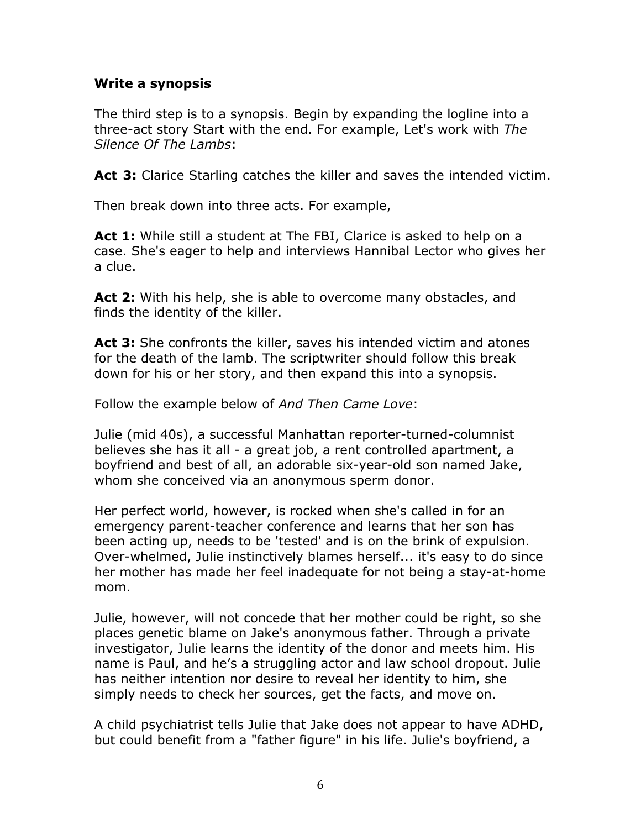### **Write a synopsis**

The third step is to a synopsis. Begin by expanding the logline into a three-act story Start with the end. For example, Let's work with *The Silence Of The Lambs*:

**Act 3:** Clarice Starling catches the killer and saves the intended victim.

Then break down into three acts. For example,

**Act 1:** While still a student at The FBI, Clarice is asked to help on a case. She's eager to help and interviews Hannibal Lector who gives her a clue.

**Act 2:** With his help, she is able to overcome many obstacles, and finds the identity of the killer.

**Act 3:** She confronts the killer, saves his intended victim and atones for the death of the lamb. The scriptwriter should follow this break down for his or her story, and then expand this into a synopsis.

Follow the example below of *And Then Came Love*:

Julie (mid 40s), a successful Manhattan reporter-turned-columnist believes she has it all - a great job, a rent controlled apartment, a boyfriend and best of all, an adorable six-year-old son named Jake, whom she conceived via an anonymous sperm donor.

Her perfect world, however, is rocked when she's called in for an emergency parent-teacher conference and learns that her son has been acting up, needs to be 'tested' and is on the brink of expulsion. Over-whelmed, Julie instinctively blames herself... it's easy to do since her mother has made her feel inadequate for not being a stay-at-home mom.

Julie, however, will not concede that her mother could be right, so she places genetic blame on Jake's anonymous father. Through a private investigator, Julie learns the identity of the donor and meets him. His name is Paul, and he's a struggling actor and law school dropout. Julie has neither intention nor desire to reveal her identity to him, she simply needs to check her sources, get the facts, and move on.

A child psychiatrist tells Julie that Jake does not appear to have ADHD, but could benefit from a "father figure" in his life. Julie's boyfriend, a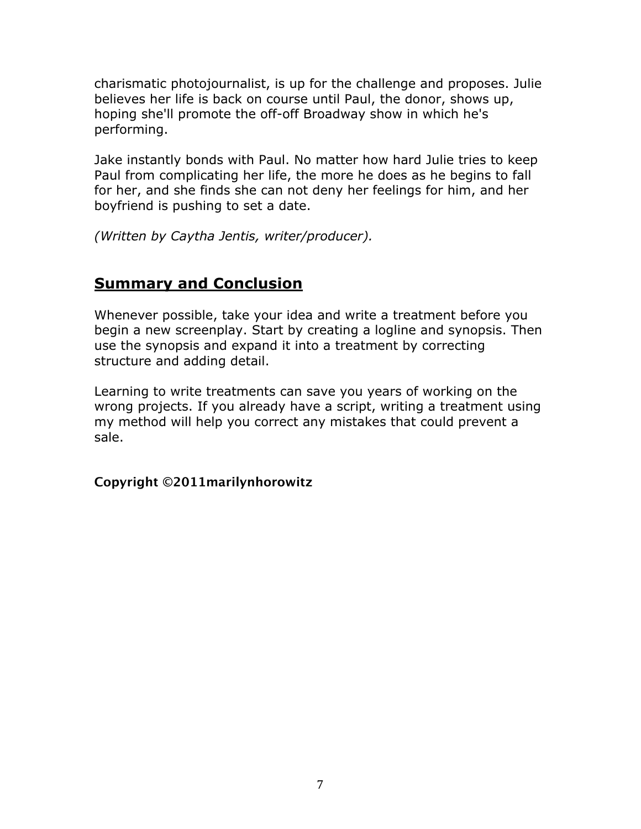charismatic photojournalist, is up for the challenge and proposes. Julie believes her life is back on course until Paul, the donor, shows up, hoping she'll promote the off-off Broadway show in which he's performing.

Jake instantly bonds with Paul. No matter how hard Julie tries to keep Paul from complicating her life, the more he does as he begins to fall for her, and she finds she can not deny her feelings for him, and her boyfriend is pushing to set a date.

*(Written by Caytha Jentis, writer/producer).*

## **Summary and Conclusion**

Whenever possible, take your idea and write a treatment before you begin a new screenplay. Start by creating a logline and synopsis. Then use the synopsis and expand it into a treatment by correcting structure and adding detail.

Learning to write treatments can save you years of working on the wrong projects. If you already have a script, writing a treatment using my method will help you correct any mistakes that could prevent a sale.

### **Copyright ©2011marilynhorowitz**